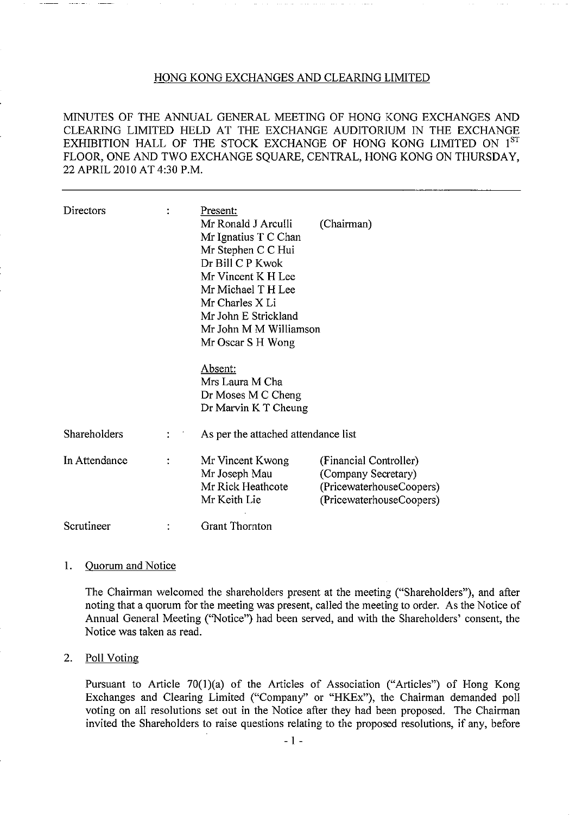## HONG KONG EXCHANGES AND CLEARING LIMITED

MINUTES OF THE ANNUAL GENERAL MEETING OF HONG KONG EXCHANGES AND CLEARING LIMITED HELD AT THE EXCHANGE AUDITORIUM IN THE EXCHANGE EXHIBITION HALL OF THE STOCK EXCHANGE OF HONG KONG LIMITED ON 1ST FLOOR, ONE AND TWO EXCHANGE SOUARE, CENTRAL, HONG KONG ON THURSDAY. 22 APRIL 2010 AT 4:30 P.M.

| Directors     |                | Present:<br>Mr Ronald J Arculli<br>Mr Ignatius T C Chan<br>Mr Stephen C C Hui<br>Dr Bill C P Kwok<br>Mr Vincent K H Lee<br>Mr Michael T H Lee<br>Mr Charles X Li<br>Mr John E Strickland<br>Mr John M M Williamson<br>Mr Oscar S H Wong<br>Absent:<br>Mrs Laura M Cha<br>Dr Moses M C Cheng<br>Dr Marvin K T Cheung | (Chairman)                                                                                            |
|---------------|----------------|---------------------------------------------------------------------------------------------------------------------------------------------------------------------------------------------------------------------------------------------------------------------------------------------------------------------|-------------------------------------------------------------------------------------------------------|
| Shareholders  |                | As per the attached attendance list                                                                                                                                                                                                                                                                                 |                                                                                                       |
| In Attendance | $\ddot{\cdot}$ | Mr Vincent Kwong<br>Mr Joseph Mau<br>Mr Rick Heathcote<br>Mr Keith Lie                                                                                                                                                                                                                                              | (Financial Controller)<br>(Company Secretary)<br>(PricewaterhouseCoopers)<br>(PricewaterhouseCoopers) |
| Scrutineer    |                | <b>Grant Thornton</b>                                                                                                                                                                                                                                                                                               |                                                                                                       |

### 1. Quorum and Notice

The Chairman welcomed the shareholders present at the meeting ("Shareholders"), and after noting that a quorum for the meeting was present, called the meeting to order. As the Notice of Annual General Meeting ("Notice") had been served, and with the Shareholders' consent, the Notice was taken as read.

### 2. Poll Voting

Pursuant to Article 70(1)(a) of the Articles of Association ("Articles") of Hong Kong Exchanges and Clearing Limited ("Company" or "HKEx"), the Chairman demanded poll voting on all resolutions set out in the Notice after they had been proposed. The Chairman invited the Shareholders to raise questions relating to the proposed resolutions, if any, before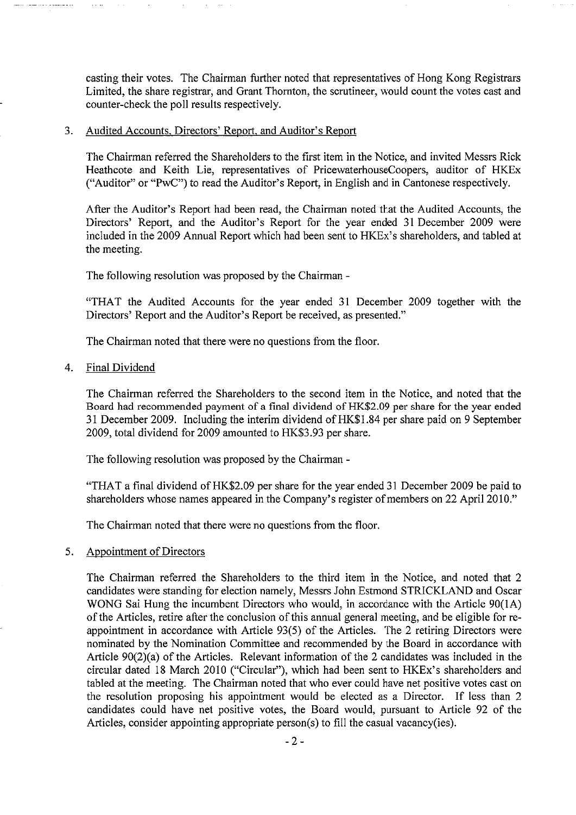casting their votes. The Chairman further noted that representatives of Hong Kong Registrars Limited, the share registrar, and Grant Thornton, the scrutineer, would count the votes cast and counter-check the poll results respectively.

### Audited Accounts, Directors' Report, and Auditor's Report 3.

The Chairman referred the Shareholders to the first item in the Notice, and invited Messrs Rick Heathcote and Keith Lie, representatives of PricewaterhouseCoopers, auditor of HKEx ("Auditor" or "PwC") to read the Auditor's Report, in English and in Cantonese respectively.

After the Auditor's Report had been read, the Chairman noted that the Audited Accounts, the Directors' Report, and the Auditor's Report for the year ended 31 December 2009 were included in the 2009 Annual Report which had been sent to HKEx's shareholders, and tabled at the meeting.

The following resolution was proposed by the Chairman -

"THAT the Audited Accounts for the year ended 31 December 2009 together with the Directors' Report and the Auditor's Report be received, as presented."

The Chairman noted that there were no questions from the floor.

Final Dividend 4.

> The Chairman referred the Shareholders to the second item in the Notice, and noted that the Board had recommended payment of a final dividend of HK\$2.09 per share for the year ended 31 December 2009. Including the interim dividend of HK\$1.84 per share paid on 9 September 2009, total dividend for 2009 amounted to HK\$3.93 per share.

The following resolution was proposed by the Chairman -

"THAT a final dividend of HK\$2.09 per share for the year ended 31 December 2009 be paid to shareholders whose names appeared in the Company's register of members on 22 April 2010."

The Chairman noted that there were no questions from the floor.

#### 5. **Appointment of Directors**

The Chairman referred the Shareholders to the third item in the Notice, and noted that 2 candidates were standing for election namely, Messrs John Estmond STRICKLAND and Oscar WONG Sai Hung the incumbent Directors who would, in accordance with the Article 90(1A) of the Articles, retire after the conclusion of this annual general meeting, and be eligible for reappointment in accordance with Article 93(5) of the Articles. The 2 retiring Directors were nominated by the Nomination Committee and recommended by the Board in accordance with Article  $90(2)(a)$  of the Articles. Relevant information of the 2 candidates was included in the circular dated 18 March 2010 ("Circular"), which had been sent to HKEx's shareholders and tabled at the meeting. The Chairman noted that who ever could have net positive votes cast on the resolution proposing his appointment would be elected as a Director. If less than 2 candidates could have net positive votes, the Board would, pursuant to Article 92 of the Articles, consider appointing appropriate person(s) to fill the casual vacancy(ies).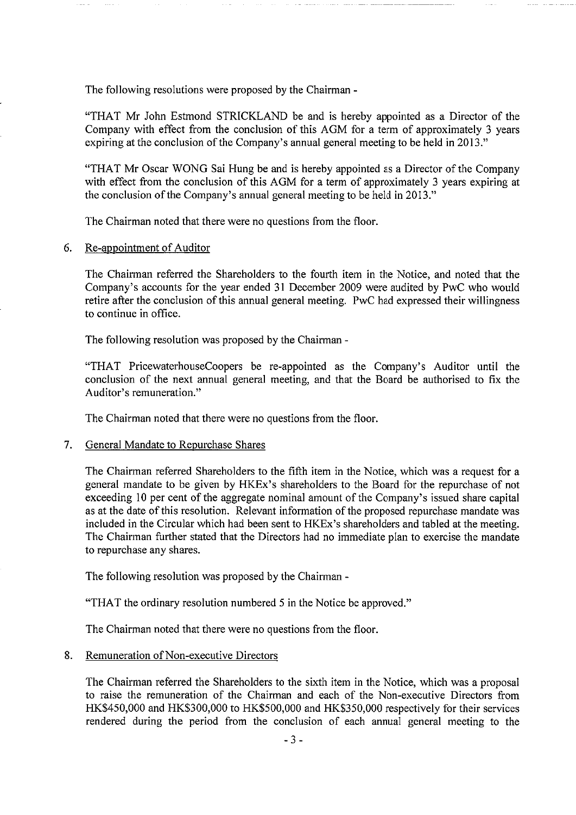The following resolutions were proposed by the Chairman -

"THAT Mr John Estmond STRICKLAND be and is hereby appointed as a Director of the Company with effect from the conclusion of this AGM for a term of approximately 3 years expiring at the conclusion of the Company's annual general meeting to be held in 2013."

"THAT Mr Oscar WONG Sai Hung be and is hereby appointed as a Director of the Company with effect from the conclusion of this AGM for a term of approximately 3 years expiring at the conclusion of the Company's annual general meeting to be held in 2013."

The Chairman noted that there were no questions from the floor.

### 6. Re-appointment of Auditor

The Chairman referred the Shareholders to the fourth item in the Notice, and noted that the Company's accounts for the year ended 31 December 2009 were audited by PwC who would retire after the conclusion of this annual general meeting. PwC had expressed their willingness to continue in office.

The following resolution was proposed by the Chairman -

"THAT PricewaterhouseCoopers be re-appointed as the Company's Auditor until the conclusion of the next annual general meeting, and that the Board be authorised to fix the Auditor's remuneration."

The Chairman noted that there were no questions from the floor.

### $7.$ General Mandate to Repurchase Shares

The Chairman referred Shareholders to the fifth item in the Notice, which was a request for a general mandate to be given by HKEx's shareholders to the Board for the repurchase of not exceeding 10 per cent of the aggregate nominal amount of the Company's issued share capital as at the date of this resolution. Relevant information of the proposed repurchase mandate was included in the Circular which had been sent to HKEx's shareholders and tabled at the meeting. The Chairman further stated that the Directors had no immediate plan to exercise the mandate to repurchase any shares.

The following resolution was proposed by the Chairman -

"THAT the ordinary resolution numbered 5 in the Notice be approved."

The Chairman noted that there were no questions from the floor.

### Remuneration of Non-executive Directors 8.

The Chairman referred the Shareholders to the sixth item in the Notice, which was a proposal to raise the remuneration of the Chairman and each of the Non-executive Directors from HK\$450,000 and HK\$300,000 to HK\$500,000 and HK\$350,000 respectively for their services rendered during the period from the conclusion of each annual general meeting to the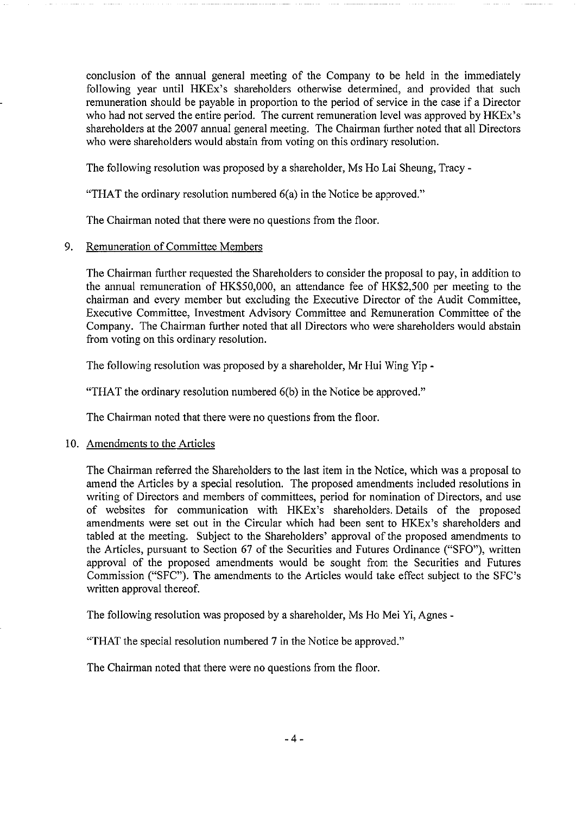conclusion of the annual general meeting of the Company to be held in the immediately following year until HKEx's shareholders otherwise determined, and provided that such remuneration should be payable in proportion to the period of service in the case if a Director who had not served the entire period. The current remuneration level was approved by HKEx's shareholders at the 2007 annual general meeting. The Chairman further noted that all Directors who were shareholders would abstain from voting on this ordinary resolution.

The following resolution was proposed by a shareholder, Ms Ho Lai Sheung, Tracy -

"THAT the ordinary resolution numbered 6(a) in the Notice be approved."

The Chairman noted that there were no questions from the floor.

### 9. Remuneration of Committee Members

The Chairman further requested the Shareholders to consider the proposal to pay, in addition to the annual remuneration of HK\$50,000, an attendance fee of HK\$2,500 per meeting to the chairman and every member but excluding the Executive Director of the Audit Committee, Executive Committee, Investment Advisory Committee and Remuneration Committee of the Company. The Chairman further noted that all Directors who were shareholders would abstain from voting on this ordinary resolution.

The following resolution was proposed by a shareholder, Mr Hui Wing Yip -

"THAT the ordinary resolution numbered 6(b) in the Notice be approved."

The Chairman noted that there were no questions from the floor.

## 10. Amendments to the Articles

The Chairman referred the Shareholders to the last item in the Notice, which was a proposal to amend the Articles by a special resolution. The proposed amendments included resolutions in writing of Directors and members of committees, period for nomination of Directors, and use of websites for communication with HKEx's shareholders. Details of the proposed amendments were set out in the Circular which had been sent to HKEx's shareholders and tabled at the meeting. Subject to the Shareholders' approval of the proposed amendments to the Articles, pursuant to Section 67 of the Securities and Futures Ordinance ("SFO"), written approval of the proposed amendments would be sought from the Securities and Futures Commission ("SFC"). The amendments to the Articles would take effect subject to the SFC's written approval thereof.

The following resolution was proposed by a shareholder, Ms Ho Mei Yi, Agnes -

"THAT the special resolution numbered 7 in the Notice be approved."

The Chairman noted that there were no questions from the floor.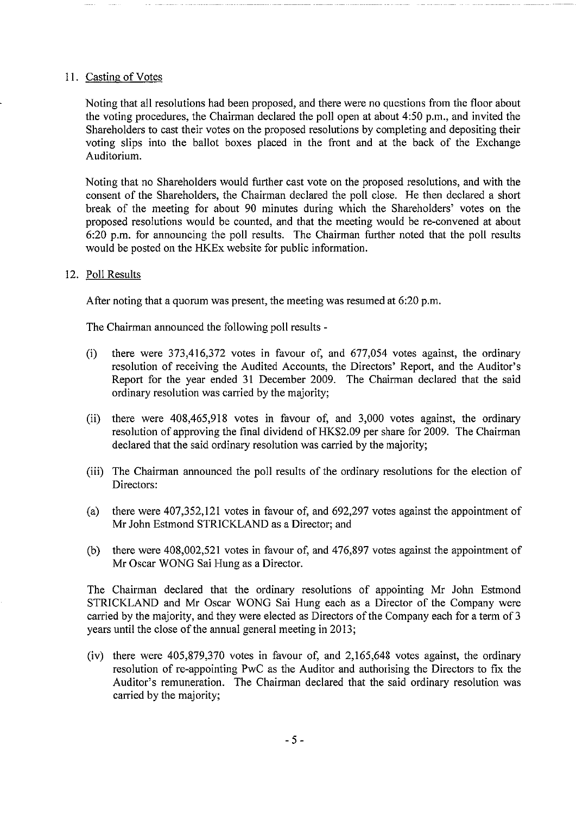## 11. Casting of Votes

Noting that all resolutions had been proposed, and there were no questions from the floor about the voting procedures, the Chairman declared the poll open at about 4:50 p.m., and invited the Shareholders to cast their votes on the proposed resolutions by completing and depositing their voting slips into the ballot boxes placed in the front and at the back of the Exchange Auditorium.

Noting that no Shareholders would further cast vote on the proposed resolutions, and with the consent of the Shareholders, the Chairman declared the poll close. He then declared a short break of the meeting for about 90 minutes during which the Shareholders' votes on the proposed resolutions would be counted, and that the meeting would be re-convened at about 6:20 p.m. for announcing the poll results. The Chairman further noted that the poll results would be posted on the HKEx website for public information.

## 12. Poll Results

After noting that a quorum was present, the meeting was resumed at 6:20 p.m.

The Chairman announced the following poll results -

- there were 373,416,372 votes in favour of, and 677,054 votes against, the ordinary  $(i)$ resolution of receiving the Audited Accounts, the Directors' Report, and the Auditor's Report for the year ended 31 December 2009. The Chairman declared that the said ordinary resolution was carried by the majority;
- (ii) there were 408,465,918 votes in favour of, and 3,000 votes against, the ordinary resolution of approving the final dividend of HK\$2.09 per share for 2009. The Chairman declared that the said ordinary resolution was carried by the majority;
- (iii) The Chairman announced the poll results of the ordinary resolutions for the election of Directors:
- $(a)$ there were 407,352,121 votes in favour of, and 692,297 votes against the appointment of Mr John Estmond STRICKLAND as a Director; and
- there were 408,002,521 votes in favour of, and 476,897 votes against the appointment of  $(b)$ Mr Oscar WONG Sai Hung as a Director.

The Chairman declared that the ordinary resolutions of appointing Mr John Estmond STRICKLAND and Mr Oscar WONG Sai Hung each as a Director of the Company were carried by the majority, and they were elected as Directors of the Company each for a term of 3 years until the close of the annual general meeting in 2013;

(iv) there were 405,879,370 votes in favour of, and 2,165,648 votes against, the ordinary resolution of re-appointing PwC as the Auditor and authorising the Directors to fix the Auditor's remuneration. The Chairman declared that the said ordinary resolution was carried by the majority;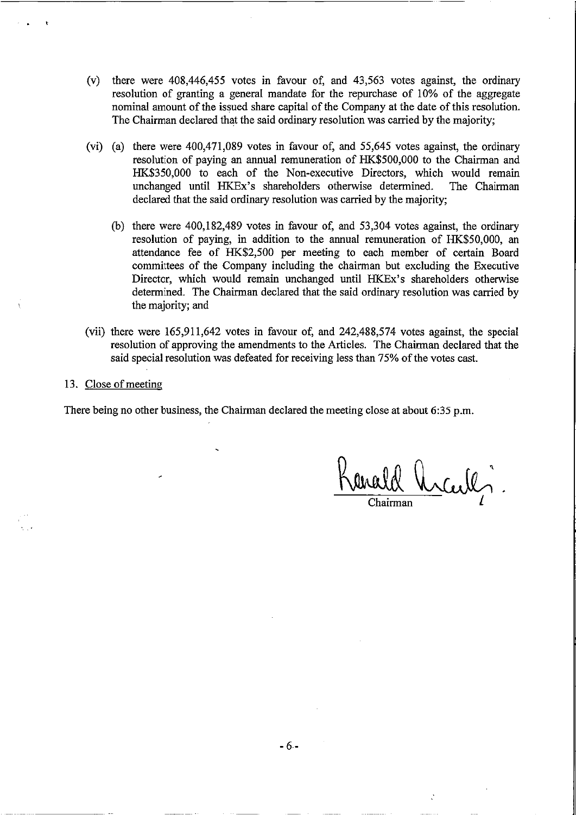- (v) there were 408,446,455 votes in favour of, and 43,563 votes against, the ordinary resolution of granting a general mandate for the repurchase of 10% of the aggregate nominal amount of the issued share capital of the Company at the date of this resolution. The Chairman declared that the said ordinary resolution was carried by the majority;
- (vi) (a) there were 400,471,089 votes in favour of, and 55,645 votes against, the ordinary resolution of paying an annual remuneration of HK\$500,000 to the Chairman and HK\$350,000 to each of the Non-executive Directors, which would remain unchanged until HKEx's shareholders otherwise determined. The Chairman declared that the said ordinary resolution was carried by the majority:
	- (b) there were 400,182,489 votes in favour of, and 53,304 votes against, the ordinary resolution of paying, in addition to the annual remuneration of HK\$50,000, an attendance fee of HK\$2,500 per meeting to each member of certain Board committees of the Company including the chairman but excluding the Executive Director, which would remain unchanged until HKEx's shareholders otherwise determined. The Chairman declared that the said ordinary resolution was carried by the majority; and
- (vii) there were 165,911,642 votes in favour of, and 242,488,574 votes against, the special resolution of approving the amendments to the Articles. The Chairman declared that the said special resolution was defeated for receiving less than 75% of the votes cast.
- 13. Close of meeting

There being no other business, the Chairman declared the meeting close at about 6:35 p.m.

Viccules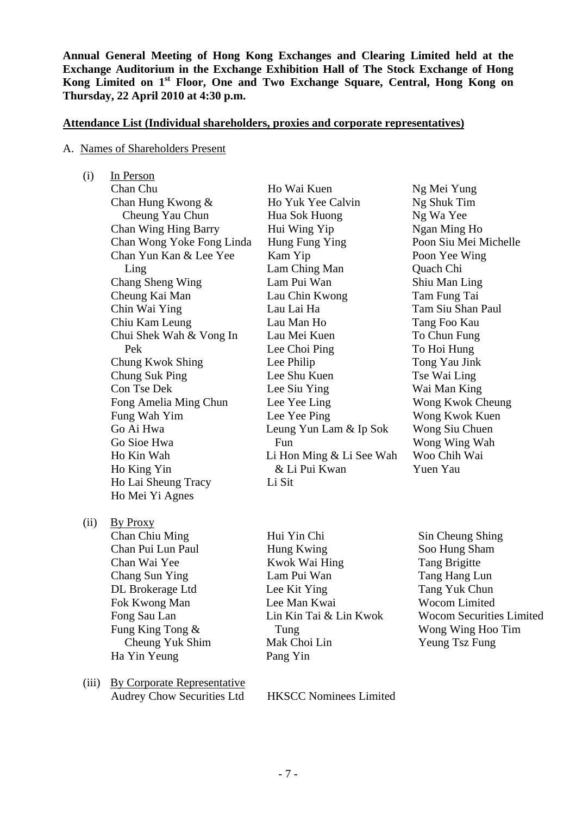**Annual General Meeting of Hong Kong Exchanges and Clearing Limited held at the Exchange Auditorium in the Exchange Exhibition Hall of The Stock Exchange of Hong Kong Limited on 1st Floor, One and Two Exchange Square, Central, Hong Kong on Thursday, 22 April 2010 at 4:30 p.m.** 

# **Attendance List (Individual shareholders, proxies and corporate representatives)**

## A. Names of Shareholders Present

| (i)   | In Person                          |                               |                                 |  |  |  |
|-------|------------------------------------|-------------------------------|---------------------------------|--|--|--|
|       | Chan Chu                           | Ho Wai Kuen                   | Ng Mei Yung                     |  |  |  |
|       | Chan Hung Kwong &                  | Ho Yuk Yee Calvin             | Ng Shuk Tim                     |  |  |  |
|       | Cheung Yau Chun                    | Hua Sok Huong                 | Ng Wa Yee                       |  |  |  |
|       | Chan Wing Hing Barry               | Hui Wing Yip                  | Ngan Ming Ho                    |  |  |  |
|       | Chan Wong Yoke Fong Linda          | Hung Fung Ying                | Poon Siu Mei Michelle           |  |  |  |
|       | Chan Yun Kan & Lee Yee             | Kam Yip                       | Poon Yee Wing                   |  |  |  |
|       | Ling                               | Lam Ching Man                 | Quach Chi                       |  |  |  |
|       | Chang Sheng Wing                   | Lam Pui Wan                   | Shiu Man Ling                   |  |  |  |
|       | Cheung Kai Man                     | Lau Chin Kwong                | Tam Fung Tai                    |  |  |  |
|       | Chin Wai Ying                      | Lau Lai Ha                    | Tam Siu Shan Paul               |  |  |  |
|       | Chiu Kam Leung                     | Lau Man Ho                    | Tang Foo Kau                    |  |  |  |
|       | Chui Shek Wah & Vong In            | Lau Mei Kuen                  | To Chun Fung                    |  |  |  |
|       | Pek                                | Lee Choi Ping                 | To Hoi Hung                     |  |  |  |
|       | Chung Kwok Shing                   | Lee Philip                    | Tong Yau Jink                   |  |  |  |
|       | Chung Suk Ping                     | Lee Shu Kuen                  | Tse Wai Ling                    |  |  |  |
|       | Con Tse Dek                        | Lee Siu Ying                  | Wai Man King                    |  |  |  |
|       | Fong Amelia Ming Chun              | Lee Yee Ling                  | Wong Kwok Cheung                |  |  |  |
|       | Fung Wah Yim                       | Lee Yee Ping                  | Wong Kwok Kuen                  |  |  |  |
|       | Go Ai Hwa                          | Leung Yun Lam & Ip Sok        | Wong Siu Chuen                  |  |  |  |
|       | Go Sioe Hwa                        | Fun                           | Wong Wing Wah                   |  |  |  |
|       | Ho Kin Wah                         | Li Hon Ming & Li See Wah      | Woo Chih Wai                    |  |  |  |
|       | Ho King Yin                        | & Li Pui Kwan                 | Yuen Yau                        |  |  |  |
|       | Ho Lai Sheung Tracy                | Li Sit                        |                                 |  |  |  |
|       | Ho Mei Yi Agnes                    |                               |                                 |  |  |  |
| (ii)  | <b>By Proxy</b>                    |                               |                                 |  |  |  |
|       | Chan Chiu Ming                     | Hui Yin Chi                   | Sin Cheung Shing                |  |  |  |
|       | Chan Pui Lun Paul                  | Hung Kwing                    | Soo Hung Sham                   |  |  |  |
|       | Chan Wai Yee                       | Kwok Wai Hing                 | Tang Brigitte                   |  |  |  |
|       | Chang Sun Ying                     | Lam Pui Wan                   | Tang Hang Lun                   |  |  |  |
|       | DL Brokerage Ltd                   | Lee Kit Ying                  | Tang Yuk Chun                   |  |  |  |
|       | Fok Kwong Man                      | Lee Man Kwai                  | Wocom Limited                   |  |  |  |
|       | Fong Sau Lan                       | Lin Kin Tai & Lin Kwok        | <b>Wocom Securities Limited</b> |  |  |  |
|       | Fung King Tong &                   | Tung                          | Wong Wing Hoo Tim               |  |  |  |
|       | Cheung Yuk Shim                    | Mak Choi Lin                  | Yeung Tsz Fung                  |  |  |  |
|       | Ha Yin Yeung                       | Pang Yin                      |                                 |  |  |  |
| (iii) | <b>By Corporate Representative</b> |                               |                                 |  |  |  |
|       | Audrey Chow Securities Ltd         | <b>HKSCC Nominees Limited</b> |                                 |  |  |  |